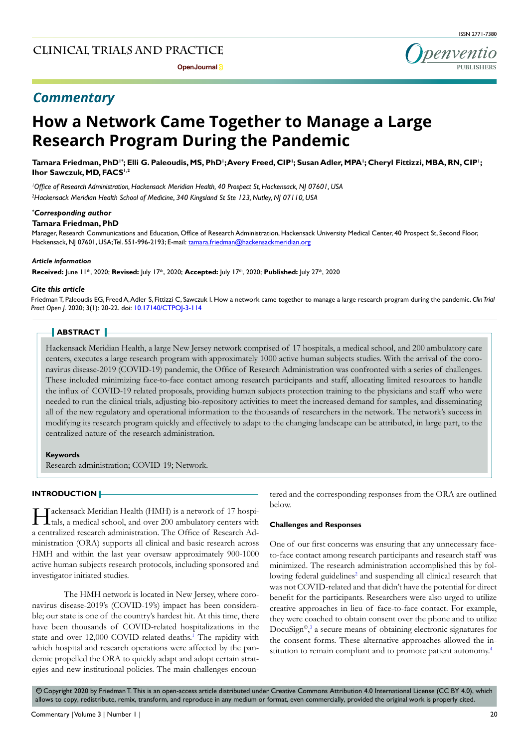**Open Journal P** 

# ISSN 2771-7380

penventio

### *Commentary*

## **How a Network Came Together to Manage a Large Research Program During the Pandemic**

Tamara Friedman, PhD'˚; Elli G. Paleoudis, MS, PhD';Avery Freed, CIP'; Susan Adler, MPA'; Cheryl Fittizzi, MBA, RN, CIP'; **Ihor Sawczuk, MD, FACS<sup>1,2</sup>** 

*1 Office of Research Administration, Hackensack Meridian Health, 40 Prospect St, Hackensack, NJ 07601, USA 2 Hackensack Meridian Health School of Medicine, 340 Kingsland St Ste 123, Nutley, NJ 07110, USA*

#### *\* Corresponding author*

#### **Tamara Friedman, PhD**

Manager, Research Communications and Education, Office of Research Administration, Hackensack University Medical Center, 40 Prospect St, Second Floor, Hackensack, NJ 07601, USA; Tel. 551-996-2193; E-mail: tamara.friedman@hackensackmeridian.org

#### *Article information*

**Received:** June 11th, 2020; **Revised:** July 17th, 2020; **Accepted:** July 17th, 2020; **Published:** July 27th, 2020

#### *Cite this article*

Friedman T, Paleoudis EG, Freed A, Adler S, Fittizzi C, Sawczuk I. How a network came together to manage a large research program during the pandemic. *Clin Trial Pract Open J*. 2020; 3(1): 20-22. doi: [10.17140/CTPOJ-3-114](http://dx.doi.org/10.17140/CTPOJ-3-114 )

#### **ABSTRACT**

Hackensack Meridian Health, a large New Jersey network comprised of 17 hospitals, a medical school, and 200 ambulatory care centers, executes a large research program with approximately 1000 active human subjects studies. With the arrival of the coronavirus disease-2019 (COVID-19) pandemic, the Office of Research Administration was confronted with a series of challenges. These included minimizing face-to-face contact among research participants and staff, allocating limited resources to handle the influx of COVID-19 related proposals, providing human subjects protection training to the physicians and staff who were needed to run the clinical trials, adjusting bio-repository activities to meet the increased demand for samples, and disseminating all of the new regulatory and operational information to the thousands of researchers in the network. The network's success in modifying its research program quickly and effectively to adapt to the changing landscape can be attributed, in large part, to the centralized nature of the research administration.

#### **Keywords**

Research administration; COVID-19; Network.

#### **INTRODUCTION**

Hackensack Meridian Health (HMH) is a network of 17 hospitals, a medical school, and over 200 ambulatory centers with a centralized research administration. The Office of Research Administration (ORA) supports all clinical and basic research across HMH and within the last year oversaw approximately 900-1000 active human subjects research protocols, including sponsored and investigator initiated studies.

The HMH network is located in New Jersey, where coronavirus disease-2019's (COVID-19's) impact has been considerable; our state is one of the country's hardest hit. At this time, there have been thousands of COVID-related hospitalizations in the state and over 12,000 COVID-related deaths.<sup>1</sup> The rapidity with which hospital and research operations were affected by the pandemic propelled the ORA to quickly adapt and adopt certain strategies and new institutional policies. The main challenges encountered and the corresponding responses from the ORA are outlined below.

#### **Challenges and Responses**

One of our first concerns was ensuring that any unnecessary faceto-face contact among research participants and research staff was minimized. The research administration accomplished this by fol-lowing federal guidelines<sup>[2](#page-2-0)</sup> and suspending all clinical research that was not COVID-related and that didn't have the potential for direct benefit for the participants. Researchers were also urged to utilize creative approaches in lieu of face-to-face contact. For example, they were coached to obtain consent over the phone and to utilize DocuSign©, [3](#page-2-1) a secure means of obtaining electronic signatures for the consent forms. These alternative approaches allowed the in-stitution to remain compliant and to promote patient autonomy.<sup>[4](#page-2-2)</sup>

 $\odot$  Copyright 2020 by Friedman T. This is an open-access article distributed under Creative Commons Attribution 4.0 International License (CC BY 4.0), which allows to copy, redistribute, remix, transform, and reproduce in any medium or format, even commercially, provided the original work is properly cited.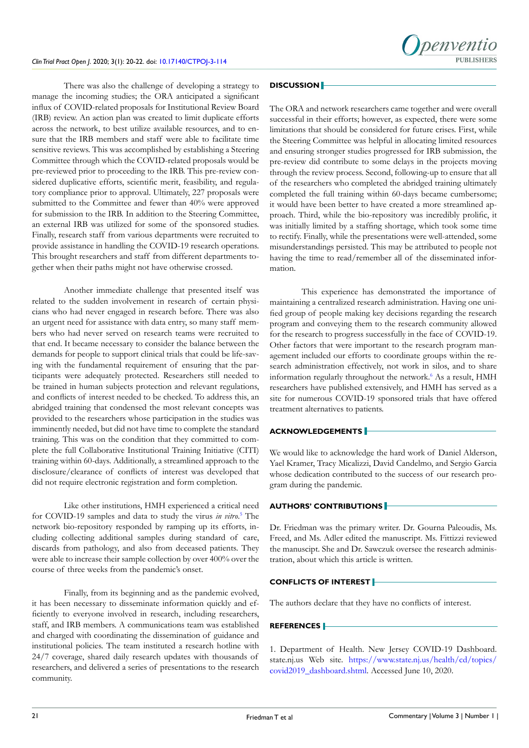There was also the challenge of developing a strategy to manage the incoming studies; the ORA anticipated a significant influx of COVID-related proposals for Institutional Review Board (IRB) review. An action plan was created to limit duplicate efforts across the network, to best utilize available resources, and to ensure that the IRB members and staff were able to facilitate time sensitive reviews. This was accomplished by establishing a Steering Committee through which the COVID-related proposals would be pre-reviewed prior to proceeding to the IRB. This pre-review considered duplicative efforts, scientific merit, feasibility, and regulatory compliance prior to approval. Ultimately, 227 proposals were submitted to the Committee and fewer than 40% were approved for submission to the IRB. In addition to the Steering Committee, an external IRB was utilized for some of the sponsored studies. Finally, research staff from various departments were recruited to provide assistance in handling the COVID-19 research operations. This brought researchers and staff from different departments together when their paths might not have otherwise crossed.

Another immediate challenge that presented itself was related to the sudden involvement in research of certain physicians who had never engaged in research before. There was also an urgent need for assistance with data entry, so many staff members who had never served on research teams were recruited to that end. It became necessary to consider the balance between the demands for people to support clinical trials that could be life-saving with the fundamental requirement of ensuring that the participants were adequately protected. Researchers still needed to be trained in human subjects protection and relevant regulations, and conflicts of interest needed to be checked. To address this, an abridged training that condensed the most relevant concepts was provided to the researchers whose participation in the studies was imminently needed, but did not have time to complete the standard training. This was on the condition that they committed to complete the full Collaborative Institutional Training Initiative (CITI) training within 60-days. Additionally, a streamlined approach to the disclosure/clearance of conflicts of interest was developed that did not require electronic registration and form completion.

Like other institutions, HMH experienced a critical need for COVID-19 samples and data to study the virus *in vitro*. [5](#page-2-3) The network bio-repository responded by ramping up its efforts, including collecting additional samples during standard of care, discards from pathology, and also from deceased patients. They were able to increase their sample collection by over 400% over the course of three weeks from the pandemic's onset.

Finally, from its beginning and as the pandemic evolved, it has been necessary to disseminate information quickly and efficiently to everyone involved in research, including researchers, staff, and IRB members. A communications team was established and charged with coordinating the dissemination of guidance and institutional policies. The team instituted a research hotline with 24/7 coverage, shared daily research updates with thousands of researchers, and delivered a series of presentations to the research community.

#### **DISCUSSION**

The ORA and network researchers came together and were overall successful in their efforts; however, as expected, there were some limitations that should be considered for future crises. First, while the Steering Committee was helpful in allocating limited resources and ensuring stronger studies progressed for IRB submission, the pre-review did contribute to some delays in the projects moving through the review process. Second, following-up to ensure that all of the researchers who completed the abridged training ultimately completed the full training within 60-days became cumbersome; it would have been better to have created a more streamlined approach. Third, while the bio-repository was incredibly prolific, it was initially limited by a staffing shortage, which took some time to rectify. Finally, while the presentations were well-attended, some misunderstandings persisted. This may be attributed to people not having the time to read/remember all of the disseminated information.

This experience has demonstrated the importance of maintaining a centralized research administration. Having one unified group of people making key decisions regarding the research program and conveying them to the research community allowed for the research to progress successfully in the face of COVID-19. Other factors that were important to the research program management included our efforts to coordinate groups within the research administration effectively, not work in silos, and to share information regularly throughout the network.<sup>6</sup> As a result, HMH researchers have published extensively, and HMH has served as a site for numerous COVID-19 sponsored trials that have offered treatment alternatives to patients.

#### **ACKNOWLEDGEMENTS**

We would like to acknowledge the hard work of Daniel Alderson, Yael Kramer, Tracy Micalizzi, David Candelmo, and Sergio Garcia whose dedication contributed to the success of our research program during the pandemic.

#### **AUTHORS' CONTRIBUTIONS**

Dr. Friedman was the primary writer. Dr. Gourna Paleoudis, Ms. Freed, and Ms. Adler edited the manuscript. Ms. Fittizzi reviewed the manuscipt. She and Dr. Sawczuk oversee the research administration, about which this article is written.

#### **CONFLICTS OF INTEREST**

The authors declare that they have no conflicts of interest.

#### **REFERENCES**

<span id="page-1-0"></span>1. Department of Health. New Jersey COVID-19 Dashboard. state.nj.us Web site. [https://www.state.nj.us/health/cd/topics/](https://www.state.nj.us/health/cd/topics/covid2019_dashboard.shtml) [covid2019\\_dashboard.shtml](https://www.state.nj.us/health/cd/topics/covid2019_dashboard.shtml). Accessed June 10, 2020.